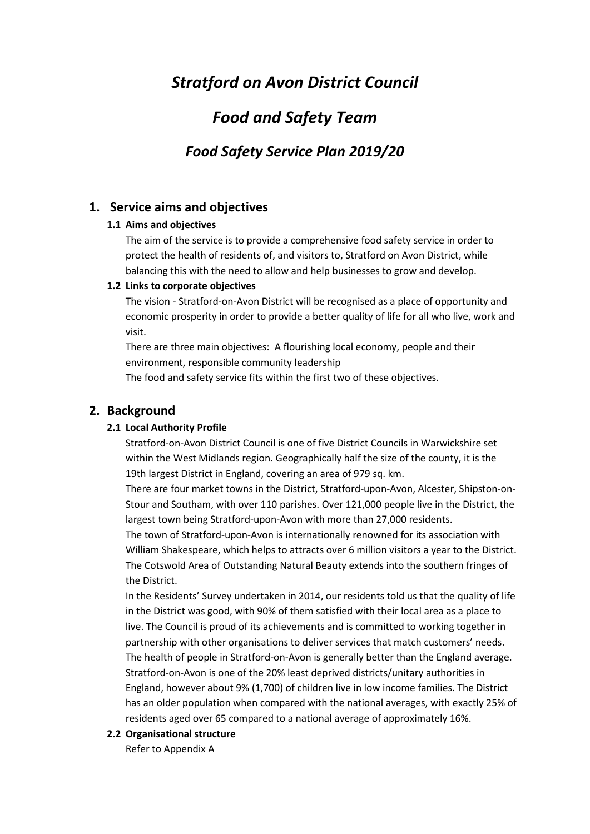# *Stratford on Avon District Council*

# *Food and Safety Team*

# *Food Safety Service Plan 2019/20*

## **1. Service aims and objectives**

## **1.1 Aims and objectives**

The aim of the service is to provide a comprehensive food safety service in order to protect the health of residents of, and visitors to, Stratford on Avon District, while balancing this with the need to allow and help businesses to grow and develop.

## **1.2 Links to corporate objectives**

The vision - Stratford-on-Avon District will be recognised as a place of opportunity and economic prosperity in order to provide a better quality of life for all who live, work and visit.

There are three main objectives: A flourishing local economy, people and their environment, responsible community leadership

The food and safety service fits within the first two of these objectives.

## **2. Background**

## **2.1 Local Authority Profile**

Stratford-on-Avon District Council is one of five District Councils in Warwickshire set within the West Midlands region. Geographically half the size of the county, it is the 19th largest District in England, covering an area of 979 sq. km.

There are four market towns in the District, Stratford-upon-Avon, Alcester, Shipston-on-Stour and Southam, with over 110 parishes. Over 121,000 people live in the District, the largest town being Stratford-upon-Avon with more than 27,000 residents.

The town of Stratford-upon-Avon is internationally renowned for its association with William Shakespeare, which helps to attracts over 6 million visitors a year to the District. The Cotswold Area of Outstanding Natural Beauty extends into the southern fringes of the District.

In the Residents' Survey undertaken in 2014, our residents told us that the quality of life in the District was good, with 90% of them satisfied with their local area as a place to live. The Council is proud of its achievements and is committed to working together in partnership with other organisations to deliver services that match customers' needs. The health of people in Stratford-on-Avon is generally better than the England average. Stratford-on-Avon is one of the 20% least deprived districts/unitary authorities in England, however about 9% (1,700) of children live in low income families. The District has an older population when compared with the national averages, with exactly 25% of residents aged over 65 compared to a national average of approximately 16%.

## **2.2 Organisational structure**

Refer to Appendix A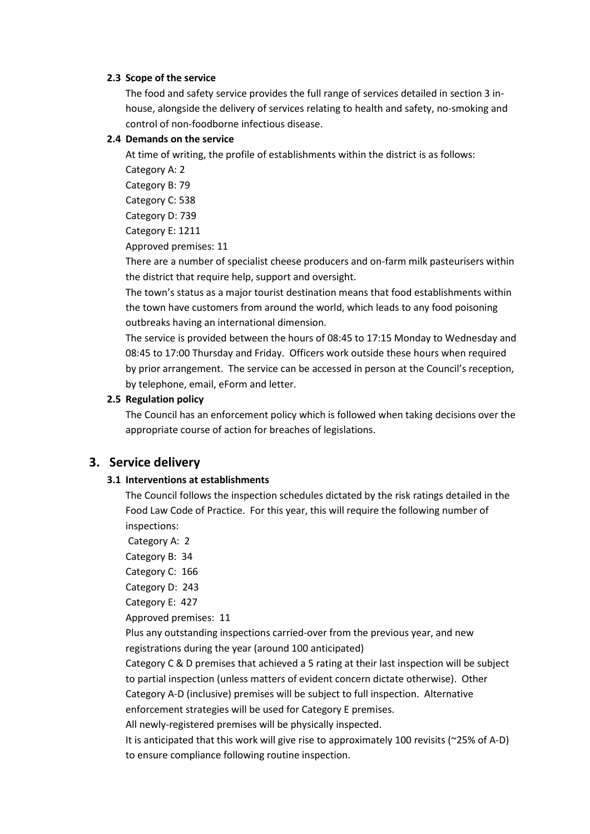#### **2.3 Scope of the service**

The food and safety service provides the full range of services detailed in section 3 inhouse, alongside the delivery of services relating to health and safety, no-smoking and control of non-foodborne infectious disease.

#### **2.4 Demands on the service**

At time of writing, the profile of establishments within the district is as follows:

Category A: 2

Category B: 79 Category C: 538

Category D: 739

Category E: 1211

Approved premises: 11

There are a number of specialist cheese producers and on-farm milk pasteurisers within the district that require help, support and oversight.

The town's status as a major tourist destination means that food establishments within the town have customers from around the world, which leads to any food poisoning outbreaks having an international dimension.

The service is provided between the hours of 08:45 to 17:15 Monday to Wednesday and 08:45 to 17:00 Thursday and Friday. Officers work outside these hours when required by prior arrangement. The service can be accessed in person at the Council's reception, by telephone, email, eForm and letter.

#### **2.5 Regulation policy**

The Council has an enforcement policy which is followed when taking decisions over the appropriate course of action for breaches of legislations.

## **3. Service delivery**

#### **3.1 Interventions at establishments**

The Council follows the inspection schedules dictated by the risk ratings detailed in the Food Law Code of Practice. For this year, this will require the following number of inspections:

Category A: 2

Category B: 34

Category C: 166

Category D: 243

Category E: 427

Approved premises: 11

Plus any outstanding inspections carried-over from the previous year, and new registrations during the year (around 100 anticipated)

Category C & D premises that achieved a 5 rating at their last inspection will be subject to partial inspection (unless matters of evident concern dictate otherwise). Other

Category A-D (inclusive) premises will be subject to full inspection. Alternative

enforcement strategies will be used for Category E premises.

All newly-registered premises will be physically inspected.

It is anticipated that this work will give rise to approximately 100 revisits (~25% of A-D) to ensure compliance following routine inspection.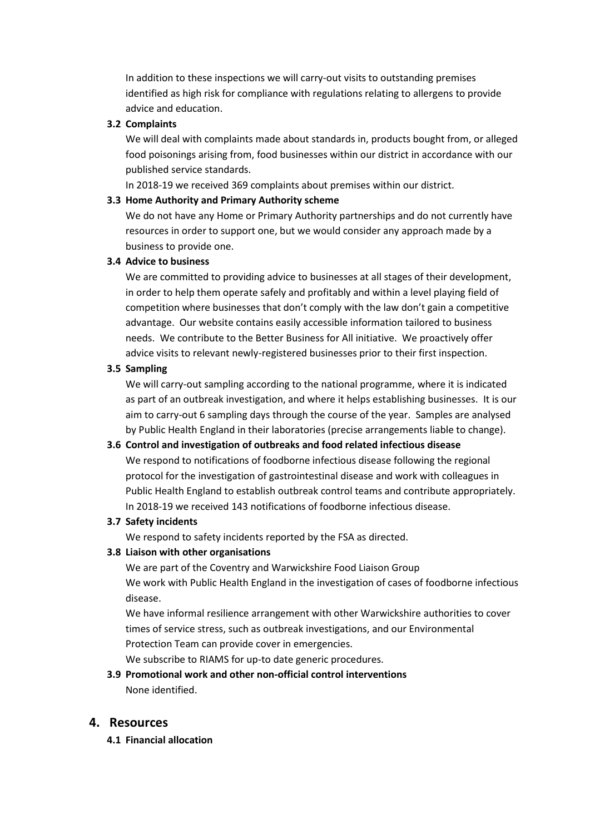In addition to these inspections we will carry-out visits to outstanding premises identified as high risk for compliance with regulations relating to allergens to provide advice and education.

### **3.2 Complaints**

We will deal with complaints made about standards in, products bought from, or alleged food poisonings arising from, food businesses within our district in accordance with our published service standards.

In 2018-19 we received 369 complaints about premises within our district.

#### **3.3 Home Authority and Primary Authority scheme**

We do not have any Home or Primary Authority partnerships and do not currently have resources in order to support one, but we would consider any approach made by a business to provide one.

#### **3.4 Advice to business**

We are committed to providing advice to businesses at all stages of their development, in order to help them operate safely and profitably and within a level playing field of competition where businesses that don't comply with the law don't gain a competitive advantage. Our website contains easily accessible information tailored to business needs. We contribute to the Better Business for All initiative. We proactively offer advice visits to relevant newly-registered businesses prior to their first inspection.

#### **3.5 Sampling**

We will carry-out sampling according to the national programme, where it is indicated as part of an outbreak investigation, and where it helps establishing businesses. It is our aim to carry-out 6 sampling days through the course of the year. Samples are analysed by Public Health England in their laboratories (precise arrangements liable to change).

#### **3.6 Control and investigation of outbreaks and food related infectious disease**

We respond to notifications of foodborne infectious disease following the regional protocol for the investigation of gastrointestinal disease and work with colleagues in Public Health England to establish outbreak control teams and contribute appropriately. In 2018-19 we received 143 notifications of foodborne infectious disease.

#### **3.7 Safety incidents**

We respond to safety incidents reported by the FSA as directed.

### **3.8 Liaison with other organisations**

We are part of the Coventry and Warwickshire Food Liaison Group We work with Public Health England in the investigation of cases of foodborne infectious disease.

We have informal resilience arrangement with other Warwickshire authorities to cover times of service stress, such as outbreak investigations, and our Environmental Protection Team can provide cover in emergencies.

We subscribe to RIAMS for up-to date generic procedures.

## **3.9 Promotional work and other non-official control interventions** None identified.

#### **4. Resources**

**4.1 Financial allocation**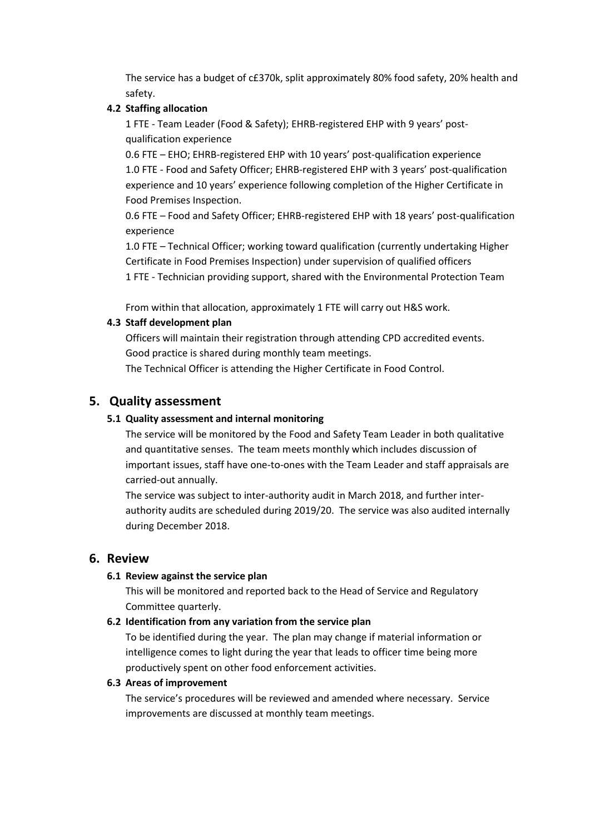The service has a budget of c£370k, split approximately 80% food safety, 20% health and safety.

### **4.2 Staffing allocation**

1 FTE - Team Leader (Food & Safety); EHRB-registered EHP with 9 years' postqualification experience

0.6 FTE – EHO; EHRB-registered EHP with 10 years' post-qualification experience 1.0 FTE - Food and Safety Officer; EHRB-registered EHP with 3 years' post-qualification experience and 10 years' experience following completion of the Higher Certificate in Food Premises Inspection.

0.6 FTE – Food and Safety Officer; EHRB-registered EHP with 18 years' post-qualification experience

1.0 FTE – Technical Officer; working toward qualification (currently undertaking Higher Certificate in Food Premises Inspection) under supervision of qualified officers 1 FTE - Technician providing support, shared with the Environmental Protection Team

From within that allocation, approximately 1 FTE will carry out H&S work.

## **4.3 Staff development plan**

Officers will maintain their registration through attending CPD accredited events. Good practice is shared during monthly team meetings.

The Technical Officer is attending the Higher Certificate in Food Control.

## **5. Quality assessment**

#### **5.1 Quality assessment and internal monitoring**

The service will be monitored by the Food and Safety Team Leader in both qualitative and quantitative senses. The team meets monthly which includes discussion of important issues, staff have one-to-ones with the Team Leader and staff appraisals are carried-out annually.

The service was subject to inter-authority audit in March 2018, and further interauthority audits are scheduled during 2019/20. The service was also audited internally during December 2018.

## **6. Review**

#### **6.1 Review against the service plan**

This will be monitored and reported back to the Head of Service and Regulatory Committee quarterly.

## **6.2 Identification from any variation from the service plan**

To be identified during the year. The plan may change if material information or intelligence comes to light during the year that leads to officer time being more productively spent on other food enforcement activities.

#### **6.3 Areas of improvement**

The service's procedures will be reviewed and amended where necessary. Service improvements are discussed at monthly team meetings.